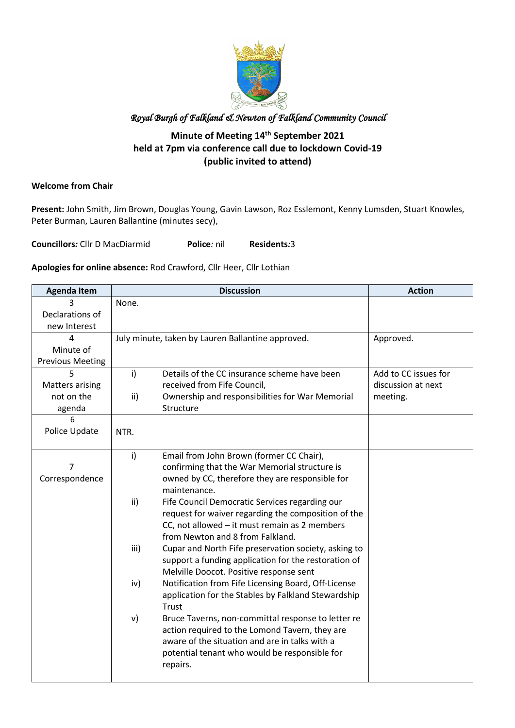

#### **Minute of Meeting 14th September 2021 held at 7pm via conference call due to lockdown Covid-19 (public invited to attend)**

#### **Welcome from Chair**

**Present:** John Smith, Jim Brown, Douglas Young, Gavin Lawson, Roz Esslemont, Kenny Lumsden, Stuart Knowles, Peter Burman, Lauren Ballantine (minutes secy),

**Councillors***:* Cllr D MacDiarmid **Police***:* nil **Residents***:*3

#### **Apologies for online absence:** Rod Crawford, Cllr Heer, Cllr Lothian

| <b>Agenda Item</b>      |       | <b>Discussion</b>                                    | <b>Action</b>        |
|-------------------------|-------|------------------------------------------------------|----------------------|
|                         | None. |                                                      |                      |
| Declarations of         |       |                                                      |                      |
| new Interest            |       |                                                      |                      |
| 4                       |       | July minute, taken by Lauren Ballantine approved.    | Approved.            |
| Minute of               |       |                                                      |                      |
| <b>Previous Meeting</b> |       |                                                      |                      |
| 5                       | i)    | Details of the CC insurance scheme have been         | Add to CC issues for |
| <b>Matters arising</b>  |       | received from Fife Council,                          | discussion at next   |
| not on the              | ii)   | Ownership and responsibilities for War Memorial      | meeting.             |
| agenda                  |       | Structure                                            |                      |
| 6                       |       |                                                      |                      |
| Police Update           | NTR.  |                                                      |                      |
|                         |       |                                                      |                      |
|                         | i)    | Email from John Brown (former CC Chair),             |                      |
| 7                       |       | confirming that the War Memorial structure is        |                      |
| Correspondence          |       | owned by CC, therefore they are responsible for      |                      |
|                         |       | maintenance.                                         |                      |
|                         | ii)   | Fife Council Democratic Services regarding our       |                      |
|                         |       | request for waiver regarding the composition of the  |                      |
|                         |       | CC, not allowed - it must remain as 2 members        |                      |
|                         |       | from Newton and 8 from Falkland.                     |                      |
|                         | iii)  | Cupar and North Fife preservation society, asking to |                      |
|                         |       | support a funding application for the restoration of |                      |
|                         |       | Melville Doocot. Positive response sent              |                      |
|                         | iv)   | Notification from Fife Licensing Board, Off-License  |                      |
|                         |       | application for the Stables by Falkland Stewardship  |                      |
|                         |       | Trust                                                |                      |
|                         | V)    | Bruce Taverns, non-committal response to letter re   |                      |
|                         |       | action required to the Lomond Tavern, they are       |                      |
|                         |       | aware of the situation and are in talks with a       |                      |
|                         |       | potential tenant who would be responsible for        |                      |
|                         |       | repairs.                                             |                      |
|                         |       |                                                      |                      |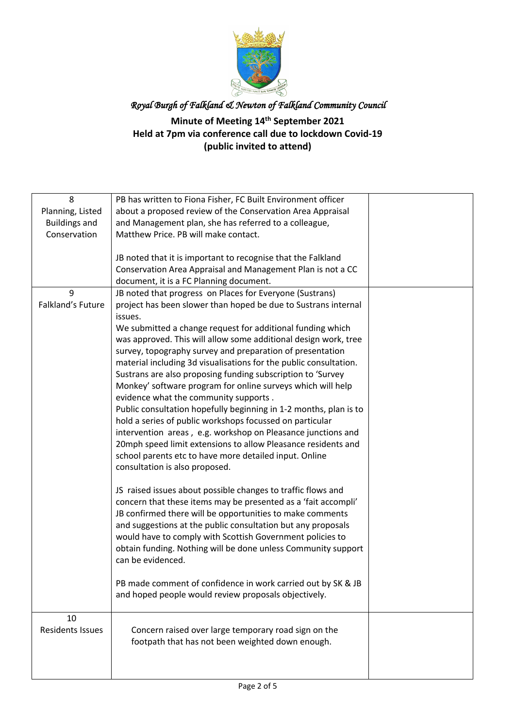

### **Minute of Meeting 14th September 2021 Held at 7pm via conference call due to lockdown Covid-19 (public invited to attend)**

| 8                       | PB has written to Fiona Fisher, FC Built Environment officer      |  |
|-------------------------|-------------------------------------------------------------------|--|
|                         |                                                                   |  |
| Planning, Listed        | about a proposed review of the Conservation Area Appraisal        |  |
| <b>Buildings and</b>    | and Management plan, she has referred to a colleague,             |  |
| Conservation            | Matthew Price. PB will make contact.                              |  |
|                         |                                                                   |  |
|                         | JB noted that it is important to recognise that the Falkland      |  |
|                         | Conservation Area Appraisal and Management Plan is not a CC       |  |
|                         | document, it is a FC Planning document.                           |  |
| 9                       | JB noted that progress on Places for Everyone (Sustrans)          |  |
| Falkland's Future       | project has been slower than hoped be due to Sustrans internal    |  |
|                         | issues.                                                           |  |
|                         | We submitted a change request for additional funding which        |  |
|                         | was approved. This will allow some additional design work, tree   |  |
|                         | survey, topography survey and preparation of presentation         |  |
|                         | material including 3d visualisations for the public consultation. |  |
|                         | Sustrans are also proposing funding subscription to 'Survey       |  |
|                         | Monkey' software program for online surveys which will help       |  |
|                         |                                                                   |  |
|                         | evidence what the community supports.                             |  |
|                         | Public consultation hopefully beginning in 1-2 months, plan is to |  |
|                         | hold a series of public workshops focussed on particular          |  |
|                         | intervention areas, e.g. workshop on Pleasance junctions and      |  |
|                         | 20mph speed limit extensions to allow Pleasance residents and     |  |
|                         | school parents etc to have more detailed input. Online            |  |
|                         | consultation is also proposed.                                    |  |
|                         |                                                                   |  |
|                         | JS raised issues about possible changes to traffic flows and      |  |
|                         | concern that these items may be presented as a 'fait accompli'    |  |
|                         | JB confirmed there will be opportunities to make comments         |  |
|                         | and suggestions at the public consultation but any proposals      |  |
|                         | would have to comply with Scottish Government policies to         |  |
|                         | obtain funding. Nothing will be done unless Community support     |  |
|                         | can be evidenced.                                                 |  |
|                         |                                                                   |  |
|                         | PB made comment of confidence in work carried out by SK & JB      |  |
|                         | and hoped people would review proposals objectively.              |  |
|                         |                                                                   |  |
| 10                      |                                                                   |  |
| <b>Residents Issues</b> | Concern raised over large temporary road sign on the              |  |
|                         | footpath that has not been weighted down enough.                  |  |
|                         |                                                                   |  |
|                         |                                                                   |  |
|                         |                                                                   |  |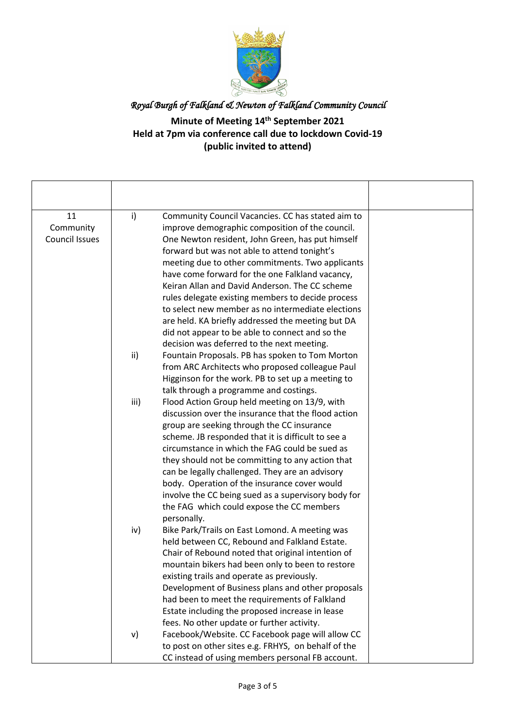

# *Royal Burgh of Falkland & Newton of Falkland Community Council*  **Minute of Meeting 14th September 2021 Held at 7pm via conference call due to lockdown Covid-19 (public invited to attend)**

| 11                    | i)   | Community Council Vacancies. CC has stated aim to   |  |
|-----------------------|------|-----------------------------------------------------|--|
| Community             |      | improve demographic composition of the council.     |  |
| <b>Council Issues</b> |      | One Newton resident, John Green, has put himself    |  |
|                       |      | forward but was not able to attend tonight's        |  |
|                       |      | meeting due to other commitments. Two applicants    |  |
|                       |      | have come forward for the one Falkland vacancy,     |  |
|                       |      | Keiran Allan and David Anderson. The CC scheme      |  |
|                       |      | rules delegate existing members to decide process   |  |
|                       |      | to select new member as no intermediate elections   |  |
|                       |      | are held. KA briefly addressed the meeting but DA   |  |
|                       |      | did not appear to be able to connect and so the     |  |
|                       |      | decision was deferred to the next meeting.          |  |
|                       | ii)  | Fountain Proposals. PB has spoken to Tom Morton     |  |
|                       |      | from ARC Architects who proposed colleague Paul     |  |
|                       |      | Higginson for the work. PB to set up a meeting to   |  |
|                       |      | talk through a programme and costings.              |  |
|                       | iii) | Flood Action Group held meeting on 13/9, with       |  |
|                       |      | discussion over the insurance that the flood action |  |
|                       |      | group are seeking through the CC insurance          |  |
|                       |      | scheme. JB responded that it is difficult to see a  |  |
|                       |      | circumstance in which the FAG could be sued as      |  |
|                       |      | they should not be committing to any action that    |  |
|                       |      | can be legally challenged. They are an advisory     |  |
|                       |      | body. Operation of the insurance cover would        |  |
|                       |      | involve the CC being sued as a supervisory body for |  |
|                       |      | the FAG which could expose the CC members           |  |
|                       |      | personally.                                         |  |
|                       | iv)  | Bike Park/Trails on East Lomond. A meeting was      |  |
|                       |      | held between CC, Rebound and Falkland Estate.       |  |
|                       |      | Chair of Rebound noted that original intention of   |  |
|                       |      | mountain bikers had been only to been to restore    |  |
|                       |      | existing trails and operate as previously.          |  |
|                       |      | Development of Business plans and other proposals   |  |
|                       |      | had been to meet the requirements of Falkland       |  |
|                       |      | Estate including the proposed increase in lease     |  |
|                       |      | fees. No other update or further activity.          |  |
|                       | v)   | Facebook/Website. CC Facebook page will allow CC    |  |
|                       |      | to post on other sites e.g. FRHYS, on behalf of the |  |
|                       |      | CC instead of using members personal FB account.    |  |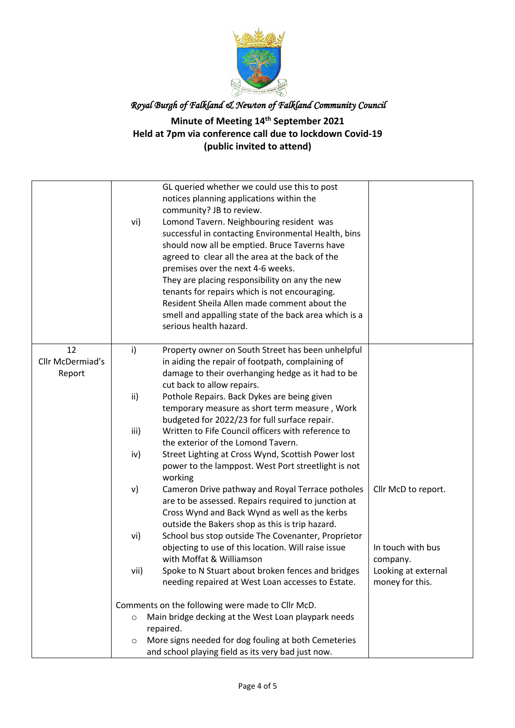

### **Minute of Meeting 14th September 2021 Held at 7pm via conference call due to lockdown Covid-19 (public invited to attend)**

|                  | vi)                                              | GL queried whether we could use this to post<br>notices planning applications within the<br>community? JB to review.<br>Lomond Tavern. Neighbouring resident was<br>successful in contacting Environmental Health, bins<br>should now all be emptied. Bruce Taverns have<br>agreed to clear all the area at the back of the<br>premises over the next 4-6 weeks.<br>They are placing responsibility on any the new<br>tenants for repairs which is not encouraging.<br>Resident Sheila Allen made comment about the<br>smell and appalling state of the back area which is a<br>serious health hazard. |                     |
|------------------|--------------------------------------------------|--------------------------------------------------------------------------------------------------------------------------------------------------------------------------------------------------------------------------------------------------------------------------------------------------------------------------------------------------------------------------------------------------------------------------------------------------------------------------------------------------------------------------------------------------------------------------------------------------------|---------------------|
| 12               | $\mathsf{i}$                                     | Property owner on South Street has been unhelpful                                                                                                                                                                                                                                                                                                                                                                                                                                                                                                                                                      |                     |
| Cllr McDermiad's |                                                  | in aiding the repair of footpath, complaining of                                                                                                                                                                                                                                                                                                                                                                                                                                                                                                                                                       |                     |
| Report           |                                                  | damage to their overhanging hedge as it had to be                                                                                                                                                                                                                                                                                                                                                                                                                                                                                                                                                      |                     |
|                  |                                                  | cut back to allow repairs.                                                                                                                                                                                                                                                                                                                                                                                                                                                                                                                                                                             |                     |
|                  | ii)                                              | Pothole Repairs. Back Dykes are being given                                                                                                                                                                                                                                                                                                                                                                                                                                                                                                                                                            |                     |
|                  |                                                  | temporary measure as short term measure, Work                                                                                                                                                                                                                                                                                                                                                                                                                                                                                                                                                          |                     |
|                  |                                                  | budgeted for 2022/23 for full surface repair.                                                                                                                                                                                                                                                                                                                                                                                                                                                                                                                                                          |                     |
|                  | iii)                                             | Written to Fife Council officers with reference to                                                                                                                                                                                                                                                                                                                                                                                                                                                                                                                                                     |                     |
|                  |                                                  | the exterior of the Lomond Tavern.                                                                                                                                                                                                                                                                                                                                                                                                                                                                                                                                                                     |                     |
|                  | iv)                                              | Street Lighting at Cross Wynd, Scottish Power lost                                                                                                                                                                                                                                                                                                                                                                                                                                                                                                                                                     |                     |
|                  |                                                  | power to the lamppost. West Port streetlight is not                                                                                                                                                                                                                                                                                                                                                                                                                                                                                                                                                    |                     |
|                  |                                                  | working                                                                                                                                                                                                                                                                                                                                                                                                                                                                                                                                                                                                |                     |
|                  | v)                                               | Cameron Drive pathway and Royal Terrace potholes                                                                                                                                                                                                                                                                                                                                                                                                                                                                                                                                                       | Cllr McD to report. |
|                  |                                                  | are to be assessed. Repairs required to junction at                                                                                                                                                                                                                                                                                                                                                                                                                                                                                                                                                    |                     |
|                  |                                                  | Cross Wynd and Back Wynd as well as the kerbs                                                                                                                                                                                                                                                                                                                                                                                                                                                                                                                                                          |                     |
|                  |                                                  | outside the Bakers shop as this is trip hazard.                                                                                                                                                                                                                                                                                                                                                                                                                                                                                                                                                        |                     |
|                  | vi)                                              | School bus stop outside The Covenanter, Proprietor                                                                                                                                                                                                                                                                                                                                                                                                                                                                                                                                                     |                     |
|                  |                                                  | objecting to use of this location. Will raise issue                                                                                                                                                                                                                                                                                                                                                                                                                                                                                                                                                    | In touch with bus   |
|                  |                                                  | with Moffat & Williamson                                                                                                                                                                                                                                                                                                                                                                                                                                                                                                                                                                               | company.            |
|                  | vii)                                             | Spoke to N Stuart about broken fences and bridges                                                                                                                                                                                                                                                                                                                                                                                                                                                                                                                                                      | Looking at external |
|                  |                                                  | needing repaired at West Loan accesses to Estate.                                                                                                                                                                                                                                                                                                                                                                                                                                                                                                                                                      | money for this.     |
|                  | Comments on the following were made to Cllr McD. |                                                                                                                                                                                                                                                                                                                                                                                                                                                                                                                                                                                                        |                     |
|                  | $\circ$                                          | Main bridge decking at the West Loan playpark needs                                                                                                                                                                                                                                                                                                                                                                                                                                                                                                                                                    |                     |
|                  |                                                  | repaired.                                                                                                                                                                                                                                                                                                                                                                                                                                                                                                                                                                                              |                     |
|                  | $\circ$                                          | More signs needed for dog fouling at both Cemeteries                                                                                                                                                                                                                                                                                                                                                                                                                                                                                                                                                   |                     |
|                  |                                                  | and school playing field as its very bad just now.                                                                                                                                                                                                                                                                                                                                                                                                                                                                                                                                                     |                     |